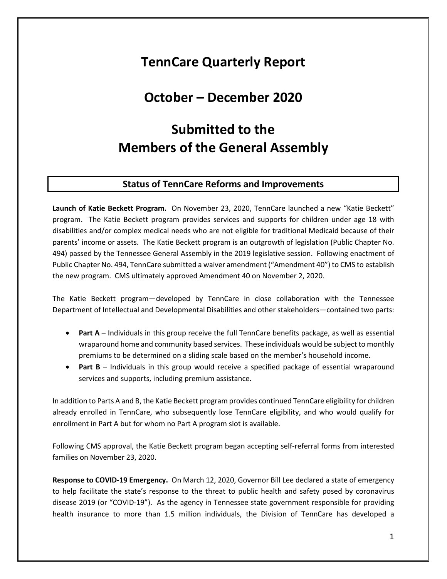# **TennCare Quarterly Report**

## **October – December 2020**

# **Submitted to the Members of the General Assembly**

### **Status of TennCare Reforms and Improvements**

**Launch of Katie Beckett Program.** On November 23, 2020, TennCare launched a new "Katie Beckett" program. The Katie Beckett program provides services and supports for children under age 18 with disabilities and/or complex medical needs who are not eligible for traditional Medicaid because of their parents' income or assets. The Katie Beckett program is an outgrowth of legislation (Public Chapter No. 494) passed by the Tennessee General Assembly in the 2019 legislative session. Following enactment of Public Chapter No. 494, TennCare submitted a waiver amendment ("Amendment 40") to CMS to establish the new program. CMS ultimately approved Amendment 40 on November 2, 2020.

The Katie Beckett program—developed by TennCare in close collaboration with the Tennessee Department of Intellectual and Developmental Disabilities and other stakeholders—contained two parts:

- **Part A** Individuals in this group receive the full TennCare benefits package, as well as essential wraparound home and community based services. These individuals would be subject to monthly premiums to be determined on a sliding scale based on the member's household income.
- **Part B** Individuals in this group would receive a specified package of essential wraparound services and supports, including premium assistance.

In addition to Parts A and B, the Katie Beckett program provides continued TennCare eligibility for children already enrolled in TennCare, who subsequently lose TennCare eligibility, and who would qualify for enrollment in Part A but for whom no Part A program slot is available.

Following CMS approval, the Katie Beckett program began accepting self-referral forms from interested families on November 23, 2020.

**Response to COVID-19 Emergency.** On March 12, 2020, Governor Bill Lee declared a state of emergency to help facilitate the state's response to the threat to public health and safety posed by coronavirus disease 2019 (or "COVID-19"). As the agency in Tennessee state government responsible for providing health insurance to more than 1.5 million individuals, the Division of TennCare has developed a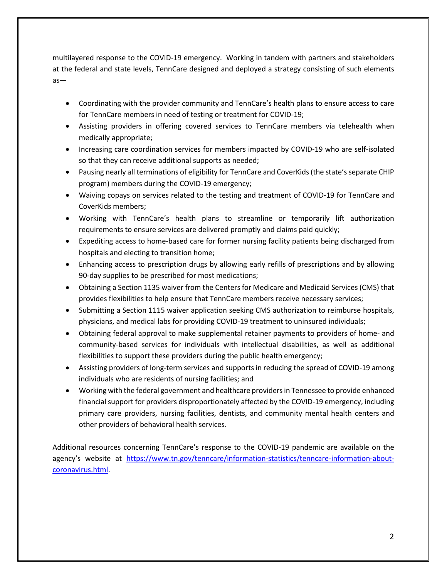multilayered response to the COVID-19 emergency. Working in tandem with partners and stakeholders at the federal and state levels, TennCare designed and deployed a strategy consisting of such elements as—

- Coordinating with the provider community and TennCare's health plans to ensure access to care for TennCare members in need of testing or treatment for COVID-19;
- Assisting providers in offering covered services to TennCare members via telehealth when medically appropriate;
- Increasing care coordination services for members impacted by COVID-19 who are self-isolated so that they can receive additional supports as needed;
- Pausing nearly all terminations of eligibility for TennCare and CoverKids (the state's separate CHIP program) members during the COVID-19 emergency;
- Waiving copays on services related to the testing and treatment of COVID-19 for TennCare and CoverKids members;
- Working with TennCare's health plans to streamline or temporarily lift authorization requirements to ensure services are delivered promptly and claims paid quickly;
- Expediting access to home-based care for former nursing facility patients being discharged from hospitals and electing to transition home;
- Enhancing access to prescription drugs by allowing early refills of prescriptions and by allowing 90-day supplies to be prescribed for most medications;
- Obtaining a Section 1135 waiver from the Centers for Medicare and Medicaid Services (CMS) that provides flexibilities to help ensure that TennCare members receive necessary services;
- Submitting a Section 1115 waiver application seeking CMS authorization to reimburse hospitals, physicians, and medical labs for providing COVID-19 treatment to uninsured individuals;
- Obtaining federal approval to make supplemental retainer payments to providers of home- and community-based services for individuals with intellectual disabilities, as well as additional flexibilities to support these providers during the public health emergency;
- Assisting providers of long-term services and supports in reducing the spread of COVID-19 among individuals who are residents of nursing facilities; and
- Working with the federal government and healthcare providers in Tennessee to provide enhanced financial support for providers disproportionately affected by the COVID-19 emergency, including primary care providers, nursing facilities, dentists, and community mental health centers and other providers of behavioral health services.

Additional resources concerning TennCare's response to the COVID-19 pandemic are available on the agency's website at [https://www.tn.gov/tenncare/information-statistics/tenncare-information-about](https://www.tn.gov/tenncare/information-statistics/tenncare-information-about-coronavirus.html)[coronavirus.html.](https://www.tn.gov/tenncare/information-statistics/tenncare-information-about-coronavirus.html)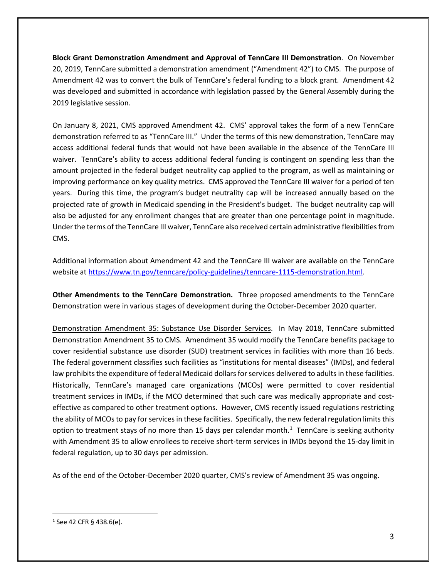**Block Grant Demonstration Amendment and Approval of TennCare III Demonstration**. On November 20, 2019, TennCare submitted a demonstration amendment ("Amendment 42") to CMS. The purpose of Amendment 42 was to convert the bulk of TennCare's federal funding to a block grant. Amendment 42 was developed and submitted in accordance with legislation passed by the General Assembly during the 2019 legislative session.

On January 8, 2021, CMS approved Amendment 42. CMS' approval takes the form of a new TennCare demonstration referred to as "TennCare III." Under the terms of this new demonstration, TennCare may access additional federal funds that would not have been available in the absence of the TennCare III waiver. TennCare's ability to access additional federal funding is contingent on spending less than the amount projected in the federal budget neutrality cap applied to the program, as well as maintaining or improving performance on key quality metrics. CMS approved the TennCare III waiver for a period of ten years. During this time, the program's budget neutrality cap will be increased annually based on the projected rate of growth in Medicaid spending in the President's budget. The budget neutrality cap will also be adjusted for any enrollment changes that are greater than one percentage point in magnitude. Under the terms of the TennCare III waiver, TennCare also received certain administrative flexibilities from CMS.

Additional information about Amendment 42 and the TennCare III waiver are available on the TennCare website at [https://www.tn.gov/tenncare/policy-guidelines/tenncare-1115-demonstration.html.](https://www.tn.gov/tenncare/policy-guidelines/tenncare-1115-demonstration.html)

**Other Amendments to the TennCare Demonstration.** Three proposed amendments to the TennCare Demonstration were in various stages of development during the October-December 2020 quarter.

Demonstration Amendment 35: Substance Use Disorder Services. In May 2018, TennCare submitted Demonstration Amendment 35 to CMS. Amendment 35 would modify the TennCare benefits package to cover residential substance use disorder (SUD) treatment services in facilities with more than 16 beds. The federal government classifies such facilities as "institutions for mental diseases" (IMDs), and federal law prohibits the expenditure of federal Medicaid dollars for services delivered to adults in these facilities. Historically, TennCare's managed care organizations (MCOs) were permitted to cover residential treatment services in IMDs, if the MCO determined that such care was medically appropriate and costeffective as compared to other treatment options. However, CMS recently issued regulations restricting the ability of MCOs to pay for services in these facilities. Specifically, the new federal regulation limits this option to treatment stays of no more than [1](#page-2-0)5 days per calendar month.<sup>1</sup> TennCare is seeking authority with Amendment 35 to allow enrollees to receive short-term services in IMDs beyond the 15-day limit in federal regulation, up to 30 days per admission.

As of the end of the October-December 2020 quarter, CMS's review of Amendment 35 was ongoing.

<span id="page-2-0"></span> $1$  See 42 CFR § 438.6(e).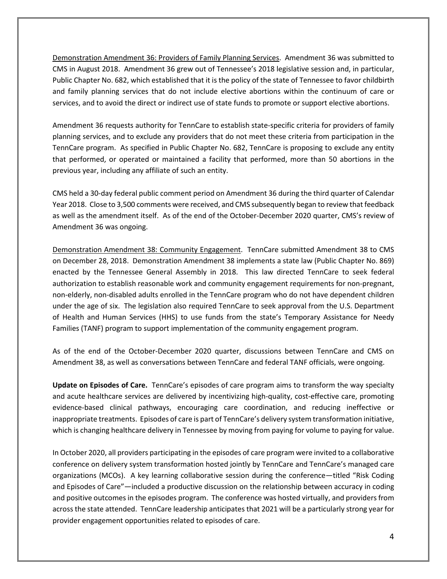Demonstration Amendment 36: Providers of Family Planning Services. Amendment 36 was submitted to CMS in August 2018. Amendment 36 grew out of Tennessee's 2018 legislative session and, in particular, Public Chapter No. 682, which established that it is the policy of the state of Tennessee to favor childbirth and family planning services that do not include elective abortions within the continuum of care or services, and to avoid the direct or indirect use of state funds to promote or support elective abortions.

Amendment 36 requests authority for TennCare to establish state-specific criteria for providers of family planning services, and to exclude any providers that do not meet these criteria from participation in the TennCare program. As specified in Public Chapter No. 682, TennCare is proposing to exclude any entity that performed, or operated or maintained a facility that performed, more than 50 abortions in the previous year, including any affiliate of such an entity.

CMS held a 30-day federal public comment period on Amendment 36 during the third quarter of Calendar Year 2018. Close to 3,500 comments were received, and CMS subsequently began to review that feedback as well as the amendment itself. As of the end of the October-December 2020 quarter, CMS's review of Amendment 36 was ongoing.

Demonstration Amendment 38: Community Engagement. TennCare submitted Amendment 38 to CMS on December 28, 2018. Demonstration Amendment 38 implements a state law (Public Chapter No. 869) enacted by the Tennessee General Assembly in 2018. This law directed TennCare to seek federal authorization to establish reasonable work and community engagement requirements for non-pregnant, non-elderly, non-disabled adults enrolled in the TennCare program who do not have dependent children under the age of six. The legislation also required TennCare to seek approval from the U.S. Department of Health and Human Services (HHS) to use funds from the state's Temporary Assistance for Needy Families (TANF) program to support implementation of the community engagement program.

As of the end of the October-December 2020 quarter, discussions between TennCare and CMS on Amendment 38, as well as conversations between TennCare and federal TANF officials, were ongoing.

**Update on Episodes of Care.** TennCare's episodes of care program aims to transform the way specialty and acute healthcare services are delivered by incentivizing high-quality, cost-effective care, promoting evidence-based clinical pathways, encouraging care coordination, and reducing ineffective or inappropriate treatments. Episodes of care is part of TennCare's delivery system transformation initiative, which is changing healthcare delivery in Tennessee by moving from paying for volume to paying for value.

In October 2020, all providers participating in the episodes of care program were invited to a collaborative conference on delivery system transformation hosted jointly by TennCare and TennCare's managed care organizations (MCOs). A key learning collaborative session during the conference—titled "Risk Coding and Episodes of Care"—included a productive discussion on the relationship between accuracy in coding and positive outcomes in the episodes program. The conference was hosted virtually, and providers from across the state attended. TennCare leadership anticipates that 2021 will be a particularly strong year for provider engagement opportunities related to episodes of care.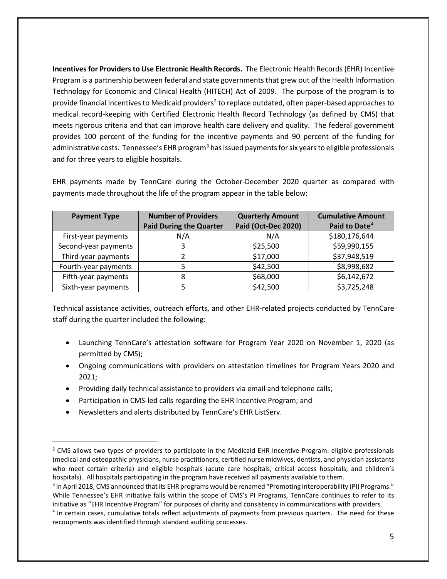**Incentives for Providers to Use Electronic Health Records.** The Electronic Health Records (EHR) Incentive Program is a partnership between federal and state governments that grew out of the Health Information Technology for Economic and Clinical Health (HITECH) Act of 2009. The purpose of the program is to provide financial incentives to Medicaid providers<sup>2</sup> to replace outdated, often paper-based approaches to medical record-keeping with Certified Electronic Health Record Technology (as defined by CMS) that meets rigorous criteria and that can improve health care delivery and quality. The federal government provides 100 percent of the funding for the incentive payments and 90 percent of the funding for administrative costs. Tennessee's EHR program<sup>[3](#page-4-1)</sup> has issued payments for six years to eligible professionals and for three years to eligible hospitals.

EHR payments made by TennCare during the October-December 2020 quarter as compared with payments made throughout the life of the program appear in the table below:

| <b>Payment Type</b>  | <b>Number of Providers</b><br><b>Paid During the Quarter</b> | <b>Quarterly Amount</b><br>Paid (Oct-Dec 2020) | <b>Cumulative Amount</b><br>Paid to Date <sup>4</sup> |
|----------------------|--------------------------------------------------------------|------------------------------------------------|-------------------------------------------------------|
| First-year payments  | N/A                                                          | N/A                                            | \$180,176,644                                         |
| Second-year payments | 3                                                            | \$25,500                                       | \$59,990,155                                          |
| Third-year payments  |                                                              | \$17,000                                       | \$37,948,519                                          |
| Fourth-year payments |                                                              | \$42,500                                       | \$8,998,682                                           |
| Fifth-year payments  | 8                                                            | \$68,000                                       | \$6,142,672                                           |
| Sixth-year payments  |                                                              | \$42,500                                       | \$3,725,248                                           |

Technical assistance activities, outreach efforts, and other EHR-related projects conducted by TennCare staff during the quarter included the following:

- Launching TennCare's attestation software for Program Year 2020 on November 1, 2020 (as permitted by CMS);
- Ongoing communications with providers on attestation timelines for Program Years 2020 and 2021;
- Providing daily technical assistance to providers via email and telephone calls;
- Participation in CMS-led calls regarding the EHR Incentive Program; and
- Newsletters and alerts distributed by TennCare's EHR ListServ.

<span id="page-4-0"></span><sup>&</sup>lt;sup>2</sup> CMS allows two types of providers to participate in the Medicaid EHR Incentive Program: eligible professionals (medical and osteopathic physicians, nurse practitioners, certified nurse midwives, dentists, and physician assistants who meet certain criteria) and eligible hospitals (acute care hospitals, critical access hospitals, and children's hospitals). All hospitals participating in the program have received all payments available to them.

<span id="page-4-1"></span><sup>&</sup>lt;sup>3</sup> In April 2018, CMS announced that its EHR programs would be renamed "Promoting Interoperability (PI) Programs." While Tennessee's EHR initiative falls within the scope of CMS's PI Programs, TennCare continues to refer to its initiative as "EHR Incentive Program" for purposes of clarity and consistency in communications with providers.

<span id="page-4-2"></span><sup>4</sup> In certain cases, cumulative totals reflect adjustments of payments from previous quarters. The need for these recoupments was identified through standard auditing processes.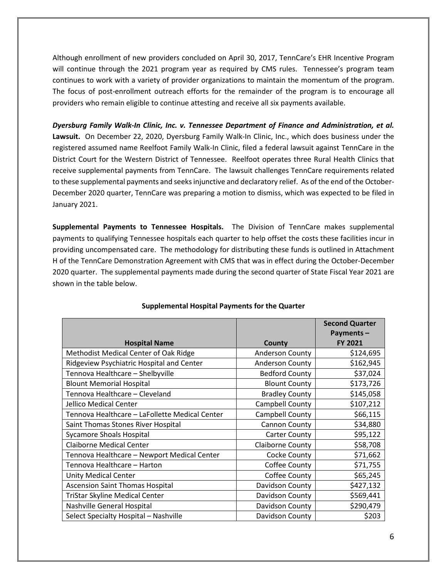Although enrollment of new providers concluded on April 30, 2017, TennCare's EHR Incentive Program will continue through the 2021 program year as required by CMS rules. Tennessee's program team continues to work with a variety of provider organizations to maintain the momentum of the program. The focus of post-enrollment outreach efforts for the remainder of the program is to encourage all providers who remain eligible to continue attesting and receive all six payments available.

*Dyersburg Family Walk-In Clinic, Inc. v. Tennessee Department of Finance and Administration, et al.* **Lawsuit.** On December 22, 2020, Dyersburg Family Walk-In Clinic, Inc., which does business under the registered assumed name Reelfoot Family Walk-In Clinic, filed a federal lawsuit against TennCare in the District Court for the Western District of Tennessee. Reelfoot operates three Rural Health Clinics that receive supplemental payments from TennCare. The lawsuit challenges TennCare requirements related to these supplemental payments and seeks injunctive and declaratory relief. As of the end of the October-December 2020 quarter, TennCare was preparing a motion to dismiss, which was expected to be filed in January 2021.

**Supplemental Payments to Tennessee Hospitals.** The Division of TennCare makes supplemental payments to qualifying Tennessee hospitals each quarter to help offset the costs these facilities incur in providing uncompensated care. The methodology for distributing these funds is outlined in Attachment H of the TennCare Demonstration Agreement with CMS that was in effect during the October-December 2020 quarter. The supplemental payments made during the second quarter of State Fiscal Year 2021 are shown in the table below.

|                                                |                        | <b>Second Quarter</b><br>Payments- |
|------------------------------------------------|------------------------|------------------------------------|
| <b>Hospital Name</b>                           | County                 | <b>FY 2021</b>                     |
| Methodist Medical Center of Oak Ridge          | <b>Anderson County</b> | \$124,695                          |
| Ridgeview Psychiatric Hospital and Center      | <b>Anderson County</b> | \$162,945                          |
| Tennova Healthcare - Shelbyville               | <b>Bedford County</b>  | \$37,024                           |
| <b>Blount Memorial Hospital</b>                | <b>Blount County</b>   | \$173,726                          |
| Tennova Healthcare - Cleveland                 | <b>Bradley County</b>  | \$145,058                          |
| Jellico Medical Center                         | Campbell County        | \$107,212                          |
| Tennova Healthcare - LaFollette Medical Center | Campbell County        | \$66,115                           |
| Saint Thomas Stones River Hospital             | Cannon County          | \$34,880                           |
| <b>Sycamore Shoals Hospital</b>                | Carter County          | \$95,122                           |
| <b>Claiborne Medical Center</b>                | Claiborne County       | \$58,708                           |
| Tennova Healthcare - Newport Medical Center    | Cocke County           | \$71,662                           |
| Tennova Healthcare - Harton                    | Coffee County          | \$71,755                           |
| <b>Unity Medical Center</b>                    | Coffee County          | \$65,245                           |
| <b>Ascension Saint Thomas Hospital</b>         | Davidson County        | \$427,132                          |
| <b>TriStar Skyline Medical Center</b>          | Davidson County        | \$569,441                          |
| Nashville General Hospital                     | Davidson County        | \$290,479                          |
| Select Specialty Hospital - Nashville          | Davidson County        | \$203                              |

#### **Supplemental Hospital Payments for the Quarter**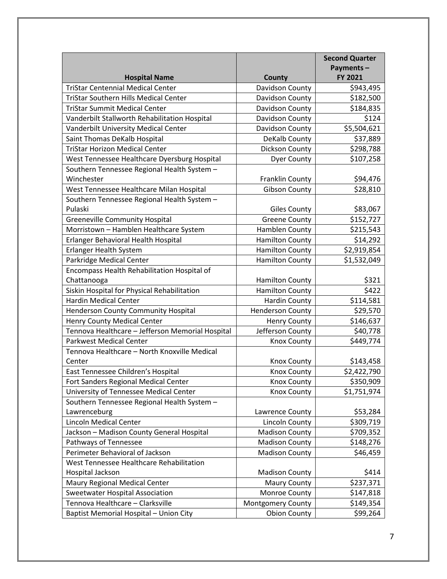|                                                  |                         | <b>Second Quarter</b> |
|--------------------------------------------------|-------------------------|-----------------------|
|                                                  |                         | Payments-             |
| <b>Hospital Name</b>                             | County                  | FY 2021               |
| <b>TriStar Centennial Medical Center</b>         | Davidson County         | \$943,495             |
| <b>TriStar Southern Hills Medical Center</b>     | Davidson County         | \$182,500             |
| <b>TriStar Summit Medical Center</b>             | Davidson County         | \$184,835             |
| Vanderbilt Stallworth Rehabilitation Hospital    | Davidson County         | \$124                 |
| Vanderbilt University Medical Center             | Davidson County         | \$5,504,621           |
| Saint Thomas DeKalb Hospital                     | DeKalb County           | \$37,889              |
| <b>TriStar Horizon Medical Center</b>            | Dickson County          | \$298,788             |
| West Tennessee Healthcare Dyersburg Hospital     | <b>Dyer County</b>      | \$107,258             |
| Southern Tennessee Regional Health System -      |                         |                       |
| Winchester                                       | <b>Franklin County</b>  | \$94,476              |
| West Tennessee Healthcare Milan Hospital         | <b>Gibson County</b>    | \$28,810              |
| Southern Tennessee Regional Health System -      |                         |                       |
| Pulaski                                          | <b>Giles County</b>     | \$83,067              |
| <b>Greeneville Community Hospital</b>            | <b>Greene County</b>    | \$152,727             |
| Morristown - Hamblen Healthcare System           | Hamblen County          | \$215,543             |
| Erlanger Behavioral Health Hospital              | <b>Hamilton County</b>  | \$14,292              |
| <b>Erlanger Health System</b>                    | <b>Hamilton County</b>  | \$2,919,854           |
| Parkridge Medical Center                         | <b>Hamilton County</b>  | \$1,532,049           |
| Encompass Health Rehabilitation Hospital of      |                         |                       |
| Chattanooga                                      | <b>Hamilton County</b>  | \$321                 |
| Siskin Hospital for Physical Rehabilitation      | <b>Hamilton County</b>  | \$422                 |
| <b>Hardin Medical Center</b>                     | <b>Hardin County</b>    | \$114,581             |
| <b>Henderson County Community Hospital</b>       | <b>Henderson County</b> | \$29,570              |
| <b>Henry County Medical Center</b>               | <b>Henry County</b>     | \$146,637             |
| Tennova Healthcare - Jefferson Memorial Hospital | Jefferson County        | \$40,778              |
| <b>Parkwest Medical Center</b>                   | <b>Knox County</b>      | \$449,774             |
| Tennova Healthcare - North Knoxville Medical     |                         |                       |
| Center                                           | Knox County             | \$143,458             |
| East Tennessee Children's Hospital               | <b>Knox County</b>      | \$2,422,790           |
| Fort Sanders Regional Medical Center             | <b>Knox County</b>      | \$350,909             |
| University of Tennessee Medical Center           | <b>Knox County</b>      | \$1,751,974           |
| Southern Tennessee Regional Health System -      |                         |                       |
| Lawrenceburg                                     | Lawrence County         | \$53,284              |
| <b>Lincoln Medical Center</b>                    | Lincoln County          | \$309,719             |
| Jackson - Madison County General Hospital        | <b>Madison County</b>   | \$709,352             |
| Pathways of Tennessee                            | <b>Madison County</b>   | \$148,276             |
| Perimeter Behavioral of Jackson                  | <b>Madison County</b>   | \$46,459              |
| West Tennessee Healthcare Rehabilitation         |                         |                       |
| Hospital Jackson                                 | <b>Madison County</b>   | \$414                 |
| Maury Regional Medical Center                    | <b>Maury County</b>     | \$237,371             |
| Sweetwater Hospital Association                  | Monroe County           | \$147,818             |
| Tennova Healthcare - Clarksville                 | Montgomery County       | \$149,354             |
| Baptist Memorial Hospital - Union City           | <b>Obion County</b>     | \$99,264              |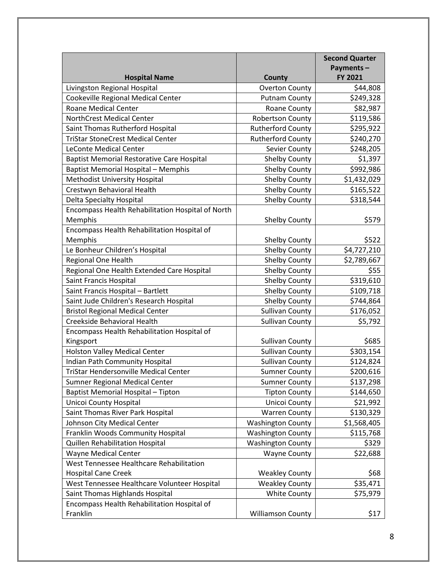|                                                   |                          | <b>Second Quarter</b> |
|---------------------------------------------------|--------------------------|-----------------------|
|                                                   |                          | Payments-             |
| <b>Hospital Name</b>                              | County                   | FY 2021               |
| Livingston Regional Hospital                      | <b>Overton County</b>    | \$44,808              |
| Cookeville Regional Medical Center                | <b>Putnam County</b>     | \$249,328             |
| <b>Roane Medical Center</b>                       | Roane County             | \$82,987              |
| NorthCrest Medical Center                         | <b>Robertson County</b>  | \$119,586             |
| Saint Thomas Rutherford Hospital                  | <b>Rutherford County</b> | \$295,922             |
| <b>TriStar StoneCrest Medical Center</b>          | <b>Rutherford County</b> | \$240,270             |
| <b>LeConte Medical Center</b>                     | Sevier County            | \$248,205             |
| <b>Baptist Memorial Restorative Care Hospital</b> | Shelby County            | \$1,397               |
| <b>Baptist Memorial Hospital - Memphis</b>        | Shelby County            | \$992,986             |
| Methodist University Hospital                     | Shelby County            | \$1,432,029           |
| Crestwyn Behavioral Health                        | <b>Shelby County</b>     | \$165,522             |
| <b>Delta Specialty Hospital</b>                   | <b>Shelby County</b>     | \$318,544             |
| Encompass Health Rehabilitation Hospital of North |                          |                       |
| Memphis                                           | <b>Shelby County</b>     | \$579                 |
| Encompass Health Rehabilitation Hospital of       |                          |                       |
| Memphis                                           | Shelby County            | \$522                 |
| Le Bonheur Children's Hospital                    | <b>Shelby County</b>     | \$4,727,210           |
| Regional One Health                               | Shelby County            | \$2,789,667           |
| Regional One Health Extended Care Hospital        | Shelby County            | \$55                  |
| Saint Francis Hospital                            | <b>Shelby County</b>     | \$319,610             |
| Saint Francis Hospital - Bartlett                 | Shelby County            | \$109,718             |
| Saint Jude Children's Research Hospital           | Shelby County            | \$744,864             |
| <b>Bristol Regional Medical Center</b>            | <b>Sullivan County</b>   | \$176,052             |
| Creekside Behavioral Health                       | <b>Sullivan County</b>   | \$5,792               |
| Encompass Health Rehabilitation Hospital of       |                          |                       |
| Kingsport                                         | <b>Sullivan County</b>   | \$685                 |
| <b>Holston Valley Medical Center</b>              | <b>Sullivan County</b>   | \$303,154             |
| Indian Path Community Hospital                    | <b>Sullivan County</b>   | \$124,824             |
| TriStar Hendersonville Medical Center             | <b>Sumner County</b>     | \$200,616             |
| Sumner Regional Medical Center                    | <b>Sumner County</b>     | \$137,298             |
| Baptist Memorial Hospital - Tipton                | <b>Tipton County</b>     | \$144,650             |
| Unicoi County Hospital                            | Unicoi County            | \$21,992              |
| Saint Thomas River Park Hospital                  | <b>Warren County</b>     | \$130,329             |
| Johnson City Medical Center                       | <b>Washington County</b> | \$1,568,405           |
| Franklin Woods Community Hospital                 | <b>Washington County</b> | \$115,768             |
| Quillen Rehabilitation Hospital                   | <b>Washington County</b> | \$329                 |
| Wayne Medical Center                              | <b>Wayne County</b>      | \$22,688              |
| West Tennessee Healthcare Rehabilitation          |                          |                       |
| <b>Hospital Cane Creek</b>                        | <b>Weakley County</b>    | \$68                  |
| West Tennessee Healthcare Volunteer Hospital      | <b>Weakley County</b>    | \$35,471              |
| Saint Thomas Highlands Hospital                   | <b>White County</b>      | \$75,979              |
| Encompass Health Rehabilitation Hospital of       |                          |                       |
| Franklin                                          | <b>Williamson County</b> | \$17                  |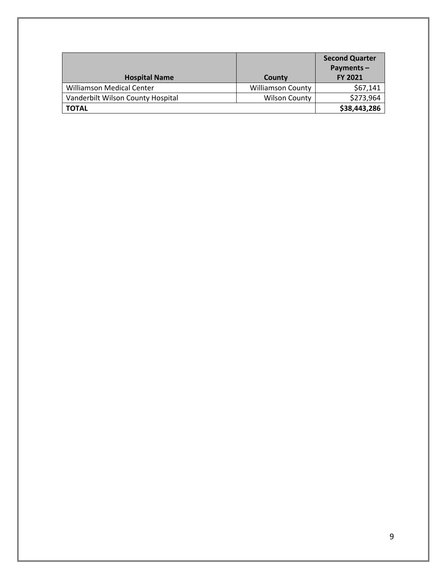|                                   |                          | <b>Second Quarter</b><br>Payments- |
|-----------------------------------|--------------------------|------------------------------------|
| <b>Hospital Name</b>              | County                   | <b>FY 2021</b>                     |
| <b>Williamson Medical Center</b>  | <b>Williamson County</b> | \$67,141                           |
| Vanderbilt Wilson County Hospital | <b>Wilson County</b>     | \$273,964                          |
| <b>TOTAL</b>                      |                          | \$38,443,286                       |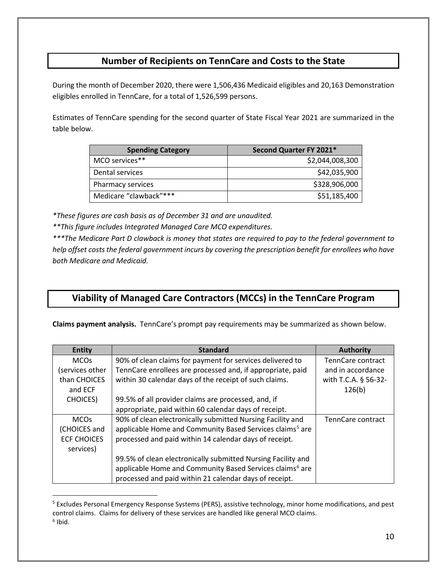## **Number of Recipients on TennCare and Costs to the State**

During the month of December 2020, there were 1,506,436 Medicaid eligibles and 20,163 Demonstration eligibles enrolled in TennCare, for a total of 1,526,599 persons.

Estimates of TennCare spending for the second quarter of State Fiscal Year 2021 are summarized in the table below.

| <b>Spending Category</b> | Second Quarter FY 2021* |
|--------------------------|-------------------------|
| MCO services**           | \$2,044,008,300         |
| Dental services          | \$42,035,900            |
| Pharmacy services        | \$328,906,000           |
| Medicare "clawback"***   | \$51,185,400            |

*\*These figures are cash basis as of December 31 and are unaudited.*

*\*\*This figure includes Integrated Managed Care MCO expenditures.*

*\*\*\*The Medicare Part D clawback is money that states are required to pay to the federal government to help offset costs the federal government incurs by covering the prescription benefit for enrollees who have both Medicare and Medicaid.*

## **Viability of Managed Care Contractors (MCCs) in the TennCare Program**

**Claims payment analysis.** TennCare's prompt pay requirements may be summarized as shown below.

| <b>Entity</b>      | <b>Standard</b>                                                      | <b>Authority</b>     |
|--------------------|----------------------------------------------------------------------|----------------------|
| <b>MCOs</b>        | 90% of clean claims for payment for services delivered to            | TennCare contract    |
| services other)    | TennCare enrollees are processed and, if appropriate, paid           | and in accordance    |
| than CHOICES       | within 30 calendar days of the receipt of such claims.               | with T.C.A. § 56-32- |
| and ECF            |                                                                      | 126(b)               |
| <b>CHOICES</b> )   | 99.5% of all provider claims are processed, and, if                  |                      |
|                    | appropriate, paid within 60 calendar days of receipt.                |                      |
| <b>MCOs</b>        | 90% of clean electronically submitted Nursing Facility and           | TennCare contract    |
| (CHOICES and       | applicable Home and Community Based Services claims <sup>5</sup> are |                      |
| <b>ECF CHOICES</b> | processed and paid within 14 calendar days of receipt.               |                      |
| services)          |                                                                      |                      |
|                    | 99.5% of clean electronically submitted Nursing Facility and         |                      |
|                    | applicable Home and Community Based Services claims <sup>6</sup> are |                      |
|                    | processed and paid within 21 calendar days of receipt.               |                      |

<span id="page-9-1"></span><span id="page-9-0"></span><sup>5</sup> Excludes Personal Emergency Response Systems (PERS), assistive technology, minor home modifications, and pest control claims. Claims for delivery of these services are handled like general MCO claims.  $6$  Ibid.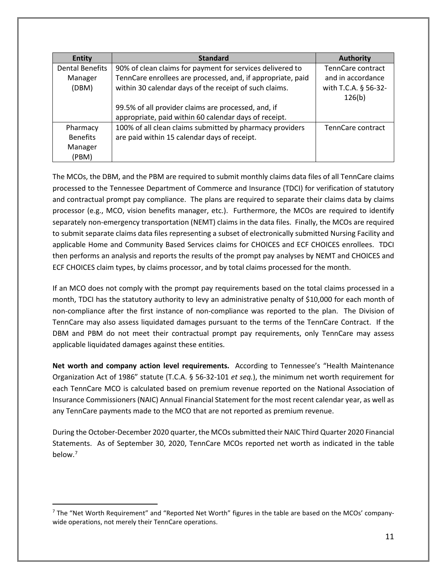| <b>Entity</b>          | <b>Standard</b>                                             | <b>Authority</b>     |
|------------------------|-------------------------------------------------------------|----------------------|
| <b>Dental Benefits</b> | 90% of clean claims for payment for services delivered to   | TennCare contract    |
| Manager                | TennCare enrollees are processed, and, if appropriate, paid | and in accordance    |
| (DBM)                  | within 30 calendar days of the receipt of such claims.      | with T.C.A. § 56-32- |
|                        |                                                             | 126(b)               |
|                        | 99.5% of all provider claims are processed, and, if         |                      |
|                        | appropriate, paid within 60 calendar days of receipt.       |                      |
| Pharmacy               | 100% of all clean claims submitted by pharmacy providers    | TennCare contract    |
| <b>Benefits</b>        | are paid within 15 calendar days of receipt.                |                      |
| Manager                |                                                             |                      |
| (PBM)                  |                                                             |                      |

The MCOs, the DBM, and the PBM are required to submit monthly claims data files of all TennCare claims processed to the Tennessee Department of Commerce and Insurance (TDCI) for verification of statutory and contractual prompt pay compliance. The plans are required to separate their claims data by claims processor (e.g., MCO, vision benefits manager, etc.). Furthermore, the MCOs are required to identify separately non-emergency transportation (NEMT) claims in the data files. Finally, the MCOs are required to submit separate claims data files representing a subset of electronically submitted Nursing Facility and applicable Home and Community Based Services claims for CHOICES and ECF CHOICES enrollees. TDCI then performs an analysis and reports the results of the prompt pay analyses by NEMT and CHOICES and ECF CHOICES claim types, by claims processor, and by total claims processed for the month.

If an MCO does not comply with the prompt pay requirements based on the total claims processed in a month, TDCI has the statutory authority to levy an administrative penalty of \$10,000 for each month of non-compliance after the first instance of non-compliance was reported to the plan. The Division of TennCare may also assess liquidated damages pursuant to the terms of the TennCare Contract. If the DBM and PBM do not meet their contractual prompt pay requirements, only TennCare may assess applicable liquidated damages against these entities.

**Net worth and company action level requirements.** According to Tennessee's "Health Maintenance Organization Act of 1986" statute (T.C.A. § 56-32-101 *et seq.*), the minimum net worth requirement for each TennCare MCO is calculated based on premium revenue reported on the National Association of Insurance Commissioners (NAIC) Annual Financial Statement for the most recent calendar year, as well as any TennCare payments made to the MCO that are not reported as premium revenue.

During the October-December 2020 quarter, the MCOs submitted their NAIC Third Quarter 2020 Financial Statements. As of September 30, 2020, TennCare MCOs reported net worth as indicated in the table below.<sup>[7](#page-10-0)</sup>

<span id="page-10-0"></span> $<sup>7</sup>$  The "Net Worth Requirement" and "Reported Net Worth" figures in the table are based on the MCOs' company-</sup> wide operations, not merely their TennCare operations.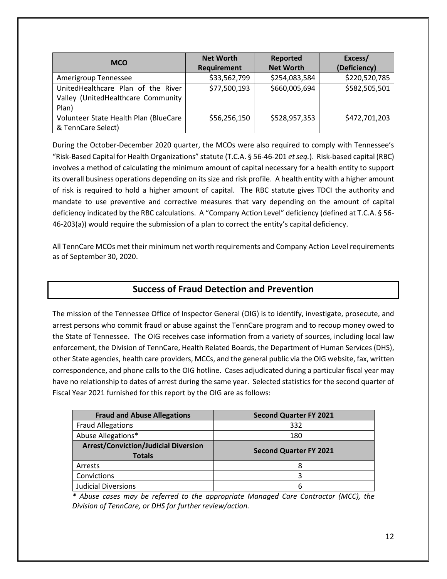| <b>MCO</b>                            | <b>Net Worth</b>   | Reported         | Excess/       |
|---------------------------------------|--------------------|------------------|---------------|
|                                       | <b>Requirement</b> | <b>Net Worth</b> | (Deficiency)  |
| Amerigroup Tennessee                  | \$33,562,799       | \$254,083,584    | \$220,520,785 |
| UnitedHealthcare Plan of the River    | \$77,500,193       | \$660,005,694    | \$582,505,501 |
| Valley (UnitedHealthcare Community    |                    |                  |               |
| Plan)                                 |                    |                  |               |
| Volunteer State Health Plan (BlueCare | \$56,256,150       | \$528,957,353    | \$472,701,203 |
| & TennCare Select)                    |                    |                  |               |

During the October-December 2020 quarter, the MCOs were also required to comply with Tennessee's "Risk-Based Capital for Health Organizations" statute (T.C.A. § 56-46-201 *et seq.*). Risk-based capital (RBC) involves a method of calculating the minimum amount of capital necessary for a health entity to support its overall business operations depending on its size and risk profile. A health entity with a higher amount of risk is required to hold a higher amount of capital. The RBC statute gives TDCI the authority and mandate to use preventive and corrective measures that vary depending on the amount of capital deficiency indicated by the RBC calculations. A "Company Action Level" deficiency (defined at T.C.A. § 56- 46-203(a)) would require the submission of a plan to correct the entity's capital deficiency.

All TennCare MCOs met their minimum net worth requirements and Company Action Level requirements as of September 30, 2020.

## **Success of Fraud Detection and Prevention**

The mission of the Tennessee Office of Inspector General (OIG) is to identify, investigate, prosecute, and arrest persons who commit fraud or abuse against the TennCare program and to recoup money owed to the State of Tennessee.The OIG receives case information from a variety of sources, including local law enforcement, the Division of TennCare, Health Related Boards, the Department of Human Services (DHS), other State agencies, health care providers, MCCs, and the general public via the OIG website, fax, written correspondence, and phone calls to the OIG hotline. Cases adjudicated during a particular fiscal year may have no relationship to dates of arrest during the same year. Selected statistics for the second quarter of Fiscal Year 2021 furnished for this report by the OIG are as follows:

| <b>Fraud and Abuse Allegations</b>                           | <b>Second Quarter FY 2021</b> |
|--------------------------------------------------------------|-------------------------------|
| <b>Fraud Allegations</b>                                     | 332                           |
| Abuse Allegations*                                           | 180                           |
| <b>Arrest/Conviction/Judicial Diversion</b><br><b>Totals</b> | <b>Second Quarter FY 2021</b> |
| Arrests                                                      |                               |
| Convictions                                                  | 3                             |
| <b>Judicial Diversions</b>                                   | 6                             |

*\* Abuse cases may be referred to the appropriate Managed Care Contractor (MCC), the Division of TennCare, or DHS for further review/action.*